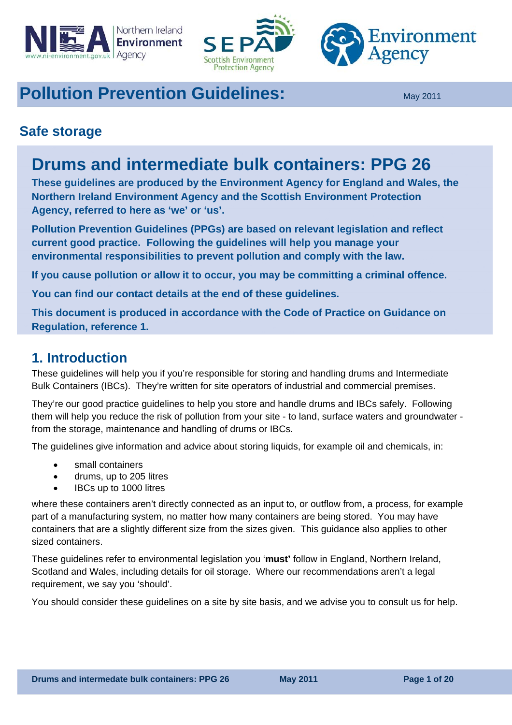<span id="page-0-0"></span>





# **Pollution Prevention Guidelines: May 2011**

## **Safe storage**

# **Drums and intermediate bulk containers: PPG 26**

**These guidelines are produced by the Environment Agency for England and Wales, the Northern Ireland Environment Agency and the Scottish Environment Protection Agency, referred to here as 'we' or 'us'.** 

**Pollution Prevention Guidelines (PPGs) are based on relevant legislation and reflect current good practice. Following the guidelines will help you manage your environmental responsibilities to prevent pollution and comply with the law.** 

**If you cause pollution or allow it to occur, you may be committing a criminal offence.** 

**You can find our contact details at the end of these guidelines.** 

**This document is produced in accordance with the Code of Practice on Guidance on Regulation, reference 1.** 

## **1. Introduction**

These guidelines will help you if you're responsible for storing and handling drums and Intermediate Bulk Containers (IBCs). They're written for site operators of industrial and commercial premises.

They're our good practice guidelines to help you store and handle drums and IBCs safely. Following them will help you reduce the risk of pollution from your site - to land, surface waters and groundwater from the storage, maintenance and handling of drums or IBCs.

The guidelines give information and advice about storing liquids, for example oil and chemicals, in:

- small containers
- drums, up to 205 litres
- IBCs up to 1000 litres

where these containers aren't directly connected as an input to, or outflow from, a process, for example part of a manufacturing system, no matter how many containers are being stored. You may have containers that are a slightly different size from the sizes given. This guidance also applies to other sized containers.

These guidelines refer to environmental legislation you '**must'** follow in England, Northern Ireland, Scotland and Wales, including details for oil storage. Where our recommendations aren't a legal requirement, we say you 'should'.

You should consider these guidelines on a site by site basis, and we advise you to consult us for help.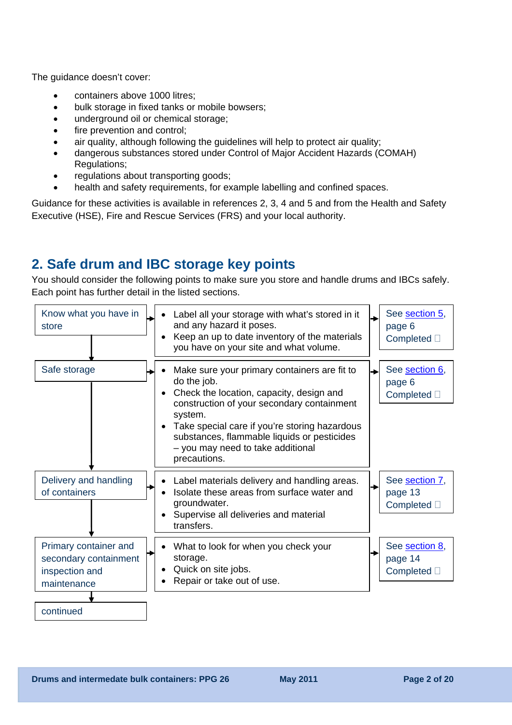The guidance doesn't cover:

- containers above 1000 litres;
- bulk storage in fixed tanks or mobile bowsers;
- underground oil or chemical storage;
- fire prevention and control;
- air quality, although following the guidelines will help to protect air quality;
- dangerous substances stored under Control of Major Accident Hazards (COMAH) Regulations;
- regulations about transporting goods;
- health and safety requirements, for example labelling and confined spaces.

Guidance for these activities is available in references 2, 3, 4 and 5 and from the Health and Safety Executive (HSE), Fire and Rescue Services (FRS) and your local authority.

## **2. Safe drum and IBC storage key points**

You should consider the following points to make sure you store and handle drums and IBCs safely. Each point has further detail in the listed sections.

| Know what you have in<br>store                                                               | Label all your storage with what's stored in it<br>and any hazard it poses.<br>Keep an up to date inventory of the materials<br>you have on your site and what volume.                                                                                                                                                | See section 5,<br>→<br>page 6<br>Completed <sup>[]</sup>  |
|----------------------------------------------------------------------------------------------|-----------------------------------------------------------------------------------------------------------------------------------------------------------------------------------------------------------------------------------------------------------------------------------------------------------------------|-----------------------------------------------------------|
| Safe storage                                                                                 | Make sure your primary containers are fit to<br>do the job.<br>Check the location, capacity, design and<br>construction of your secondary containment<br>system.<br>Take special care if you're storing hazardous<br>substances, flammable liquids or pesticides<br>- you may need to take additional<br>precautions. | See section 6,<br>→<br>page 6<br>Completed <sup>[]</sup>  |
| Delivery and handling<br>of containers                                                       | Label materials delivery and handling areas.<br>Isolate these areas from surface water and<br>groundwater.<br>Supervise all deliveries and material<br>transfers.                                                                                                                                                     | See section 7,<br>→<br>page 13<br>Completed <sup>[]</sup> |
| Primary container and<br>secondary containment<br>inspection and<br>maintenance<br>continued | What to look for when you check your<br>storage.<br>Quick on site jobs.<br>Repair or take out of use.                                                                                                                                                                                                                 | See section 8,<br>page 14<br>Completed <sup>[]</sup>      |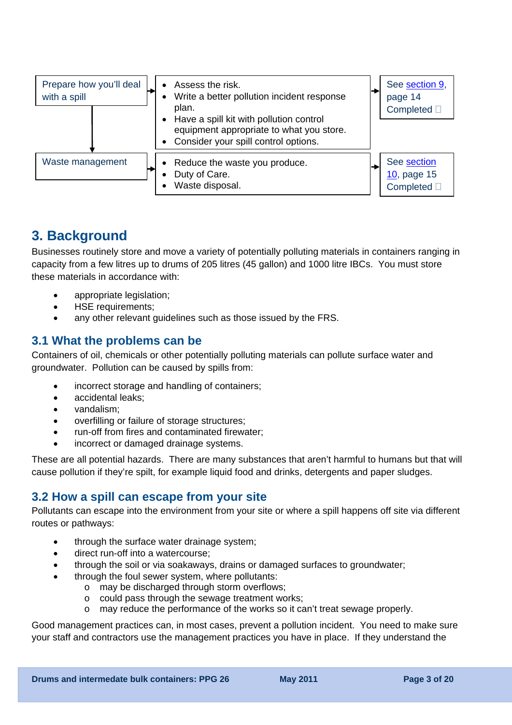

## **3. Background**

Businesses routinely store and move a variety of potentially polluting materials in containers ranging in capacity from a few litres up to drums of 205 litres (45 gallon) and 1000 litre IBCs. You must store these materials in accordance with:

- appropriate legislation;
- HSE requirements;
- any other relevant quidelines such as those issued by the FRS.

### **3.1 What the problems can be**

Containers of oil, chemicals or other potentially polluting materials can pollute surface water and groundwater. Pollution can be caused by spills from:

- incorrect storage and handling of containers;
- accidental leaks;
- vandalism;
- overfilling or failure of storage structures;
- run-off from fires and contaminated firewater;
- incorrect or damaged drainage systems.

These are all potential hazards. There are many substances that aren't harmful to humans but that will cause pollution if they're spilt, for example liquid food and drinks, detergents and paper sludges.

### **3.2 How a spill can escape from your site**

Pollutants can escape into the environment from your site or where a spill happens off site via different routes or pathways:

- through the surface water drainage system:
- direct run-off into a watercourse;
- through the soil or via soakaways, drains or damaged surfaces to groundwater;
- through the foul sewer system, where pollutants:
	- o may be discharged through storm overflows;
	- o could pass through the sewage treatment works;
	- o may reduce the performance of the works so it can't treat sewage properly.

Good management practices can, in most cases, prevent a pollution incident. You need to make sure your staff and contractors use the management practices you have in place. If they understand the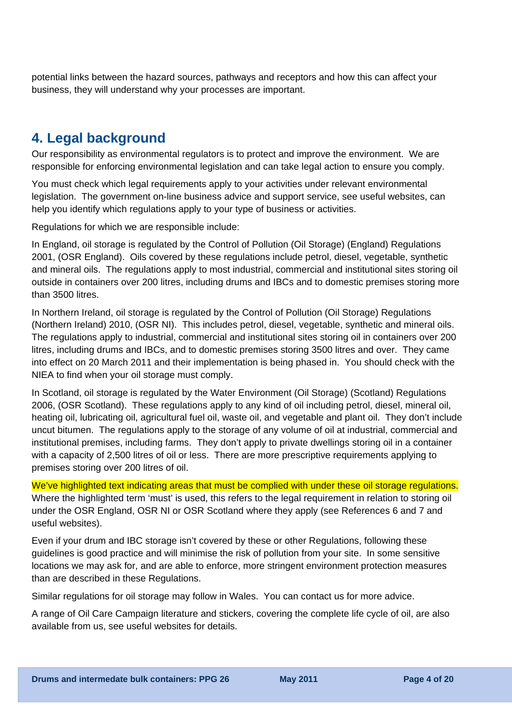potential links between the hazard sources, pathways and receptors and how this can affect your business, they will understand why your processes are important.

## **4. Legal background**

Our responsibility as environmental regulators is to protect and improve the environment. We are responsible for enforcing environmental legislation and can take legal action to ensure you comply.

You must check which legal requirements apply to your activities under relevant environmental legislation. The government on-line business advice and support service, see useful websites, can help you identify which regulations apply to your type of business or activities.

Regulations for which we are responsible include:

In England, oil storage is regulated by the Control of Pollution (Oil Storage) (England) Regulations 2001, (OSR England). Oils covered by these regulations include petrol, diesel, vegetable, synthetic and mineral oils. The regulations apply to most industrial, commercial and institutional sites storing oil outside in containers over 200 litres, including drums and IBCs and to domestic premises storing more than 3500 litres.

In Northern Ireland, oil storage is regulated by the Control of Pollution (Oil Storage) Regulations (Northern Ireland) 2010, (OSR NI). This includes petrol, diesel, vegetable, synthetic and mineral oils. The regulations apply to industrial, commercial and institutional sites storing oil in containers over 200 litres, including drums and IBCs, and to domestic premises storing 3500 litres and over. They came into effect on 20 March 2011 and their implementation is being phased in. You should check with the NIEA to find when your oil storage must comply.

In Scotland, oil storage is regulated by the Water Environment (Oil Storage) (Scotland) Regulations 2006, (OSR Scotland). These regulations apply to any kind of oil including petrol, diesel, mineral oil, heating oil, lubricating oil, agricultural fuel oil, waste oil, and vegetable and plant oil. They don't include uncut bitumen. The regulations apply to the storage of any volume of oil at industrial, commercial and institutional premises, including farms. They don't apply to private dwellings storing oil in a container with a capacity of 2,500 litres of oil or less. There are more prescriptive requirements applying to premises storing over 200 litres of oil.

We've highlighted text indicating areas that must be complied with under these oil storage regulations. Where the highlighted term 'must' is used, this refers to the legal requirement in relation to storing oil under the OSR England, OSR NI or OSR Scotland where they apply (see References 6 and 7 and useful websites).

Even if your drum and IBC storage isn't covered by these or other Regulations, following these guidelines is good practice and will minimise the risk of pollution from your site. In some sensitive locations we may ask for, and are able to enforce, more stringent environment protection measures than are described in these Regulations.

Similar regulations for oil storage may follow in Wales. You can contact us for more advice.

A range of Oil Care Campaign literature and stickers, covering the complete life cycle of oil, are also available from us, see useful websites for details.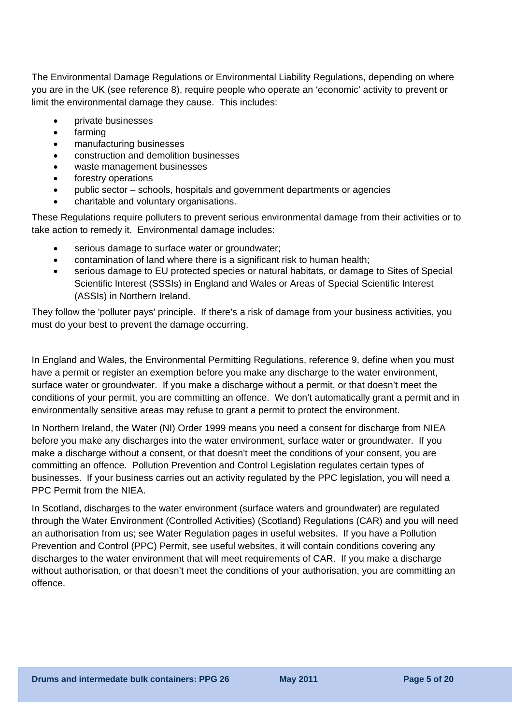The [Environmental Damage Regulations or Environmental Liability Regulations](#page-16-0), depending on where you are in the UK (see reference 8), require people who operate an 'economic' activity to prevent or limit the environmental damage they cause. This includes:

- private businesses
- farming
- manufacturing businesses
- construction and demolition businesses
- waste management businesses
- forestry operations
- public sector schools, hospitals and government departments or agencies
- charitable and voluntary organisations.

These Regulations require polluters to prevent serious environmental damage from their activities or to take action to remedy it. Environmental damage includes:

- serious damage to surface water or groundwater;
- contamination of land where there is a significant risk to human health;
- serious damage to EU protected species or natural habitats, or damage to Sites of Special Scientific Interest (SSSIs) in England and Wales or Areas of Special Scientific Interest (ASSIs) in Northern Ireland.

They follow the 'polluter pays' principle. If there's a risk of damage from your business activities, you must do your best to prevent the damage occurring.

In England and Wales, the Environmental Permitting Regulations, reference 9, define when you must have a permit or register an exemption before you make any discharge to the water environment, surface water or groundwater. If you make a discharge without a permit, or that doesn't meet the conditions of your permit, you are committing an offence. We don't automatically grant a permit and in environmentally sensitive areas may refuse to grant a permit to protect the environment.

In Northern Ireland, the Water (NI) Order 1999 means you need a consent for discharge from NIEA before you make any discharges into the water environment, surface water or groundwater. If you make a discharge without a consent, or that doesn't meet the conditions of your consent, you are committing an offence. Pollution Prevention and Control Legislation regulates certain types of businesses. If your business carries out an activity regulated by the PPC legislation, you will need a PPC Permit from the NIEA.

In Scotland, discharges to the water environment (surface waters and groundwater) are regulated through the Water Environment (Controlled Activities) (Scotland) Regulations (CAR) and you will need an authorisation from us; see Water Regulation pages in useful websites. If you have a Pollution Prevention and Control (PPC) Permit, see useful websites, it will contain conditions covering any discharges to the water environment that will meet requirements of CAR. If you make a discharge without authorisation, or that doesn't meet the conditions of your authorisation, you are committing an offence.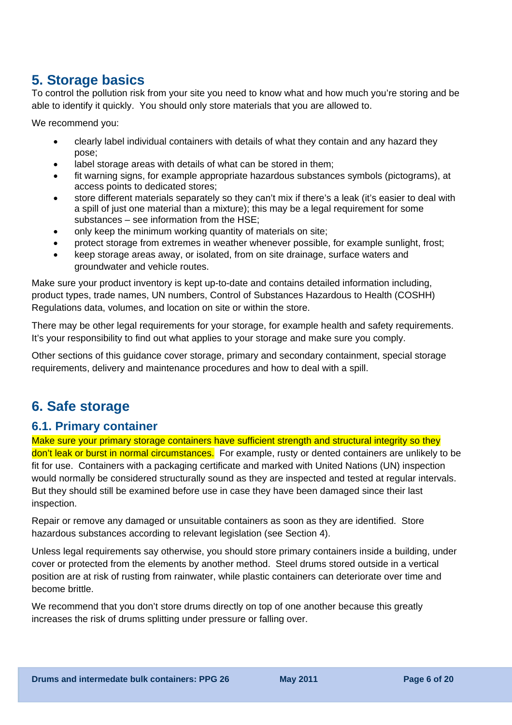## **5. Storage basics**

To control the pollution risk from your site you need to know what and how much you're storing and be able to identify it quickly. You should only store materials that you are allowed to.

We recommend you:

- clearly label individual containers with details of what they contain and any hazard they pose;
- label storage areas with details of what can be stored in them;
- fit warning signs, for example appropriate hazardous substances symbols (pictograms), at access points to dedicated stores;
- store different materials separately so they can't mix if there's a leak (it's easier to deal with a spill of just one material than a mixture); this may be a legal requirement for some substances – see information from the HSE;
- only keep the minimum working quantity of materials on site:
- protect storage from extremes in weather whenever possible, for example sunlight, frost;
- keep storage areas away, or isolated, from on site drainage, surface waters and groundwater and vehicle routes.

Make sure your product inventory is kept up-to-date and contains detailed information including, product types, trade names, UN numbers, Control of Substances Hazardous to Health (COSHH) Regulations data, volumes, and location on site or within the store.

There may be other legal requirements for your storage, for example health and safety requirements. It's your responsibility to find out what applies to your storage and make sure you comply.

Other sections of this guidance cover storage, primary and secondary containment, special storage requirements, delivery and maintenance procedures and how to deal with a spill.

## **6. Safe storage**

### **6.1. Primary container**

Make sure your [primary storage containers](#page-16-0) have sufficient strength and structural integrity so they don't leak or burst in normal circumstances. For example, rusty or dented containers are unlikely to be fit for use. Containers with a packaging certificate and marked with United Nations (UN) inspection would normally be considered structurally sound as they are inspected and tested at regular intervals. But they should still be examined before use in case they have been damaged since their last inspection.

Repair or remove any damaged or unsuitable containers as soon as they are identified. Store hazardous substances according to relevant legislation (see Section 4).

Unless legal requirements say otherwise, you should store primary containers inside a building, under cover or protected from the elements by another method. Steel drums stored outside in a vertical position are at risk of rusting from rainwater, while plastic containers can deteriorate over time and become brittle.

We recommend that you don't store drums directly on top of one another because this greatly increases the risk of drums splitting under pressure or falling over.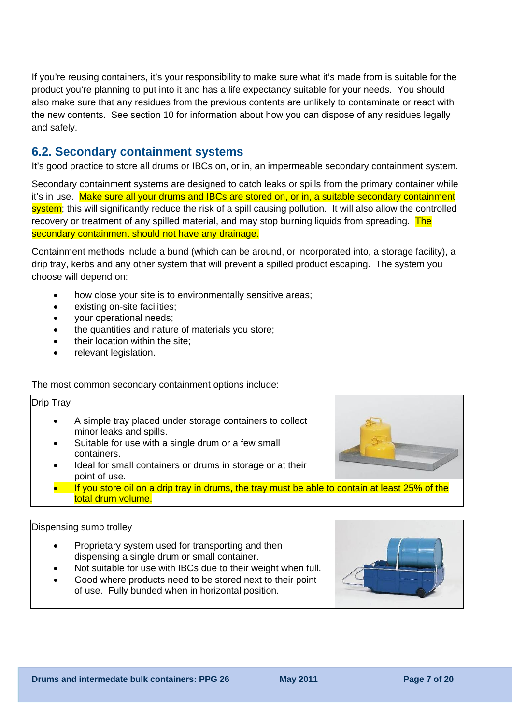If you're reusing containers, it's your responsibility to make sure what it's made from is suitable for the product you're planning to put into it and has a life expectancy suitable for your needs. You should also make sure that any residues from the previous contents are unlikely to contaminate or react with the new contents. See section 10 for information about how you can dispose of any residues legally and safely.

#### **6.2. Secondary containment systems**

It's good practice to store all drums or IBCs on, or in, an impermeable secondary containment system.

[Secondary containment systems](#page-0-0) are designed to catch leaks or spills from the primary container while it's in use. Make sure all your drums and IBCs are stored on, or in, a suitable secondary containment system; this will significantly reduce the risk of a spill causing pollution. It will also allow the controlled recovery or treatment of any spilled material, and may stop burning liquids from spreading. The secondary containment should not have any drainage.

Containment methods include a bund (which can be around, or incorporated into, a storage facility), a drip tray, kerbs and any other system that will prevent a spilled product escaping. The system you choose will depend on:

- how close your site is to environmentally sensitive areas;
- existing on-site facilities;
- your operational needs;
- the quantities and nature of materials you store;
- their location within the site;
- relevant legislation.

#### The most common secondary containment options include:

#### Drip Tray

- A simple tray placed under storage containers to collect minor leaks and spills.
- Suitable for use with a single drum or a few small containers.
- Ideal for small containers or drums in storage or at their point of use.
- If you store oil on a drip tray in drums, the tray must be able to contain at least 25% of the total drum volume.

#### Dispensing sump trolley

- Proprietary system used for transporting and then dispensing a single drum or small container.
- Not suitable for use with IBCs due to their weight when full.
- Good where products need to be stored next to their point of use. Fully bunded when in horizontal position.

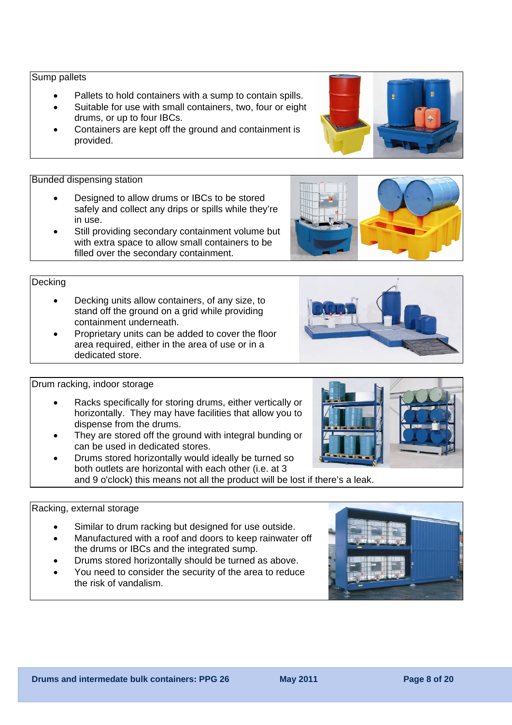#### **Drums and intermedate bulk containers: PPG 26 May 2011 May 2011 Page 8 of 20 and 20**

#### Sump pallets

- Pallets to hold containers with a sump to contain spills.
- Suitable for use with small containers, two, four or eight drums, or up to four IBCs.
- Containers are kept off the ground and containment is provided.

#### Bunded dispensing station

- Designed to allow drums or IBCs to be stored safely and collect any drips or spills while they're in use.
- Still providing secondary containment volume but with extra space to allow small containers to be filled over the secondary containment.

#### **Decking**

- Decking units allow containers, of any size, to stand off the ground on a grid while providing containment underneath.
- Proprietary units can be added to cover the floor area required, either in the area of use or in a dedicated store.

#### Drum racking, indoor storage

- Racks specifically for storing drums, either vertically or horizontally. They may have facilities that allow you to dispense from the drums.
- They are stored off the ground with integral bunding or can be used in dedicated stores.
- Drums stored horizontally would ideally be turned so both outlets are horizontal with each other (i.e. at 3 and 9 o'clock) this means not all the product will be lost if there's a leak.

#### Racking, external storage

- Similar to drum racking but designed for use outside.
- Manufactured with a roof and doors to keep rainwater off the drums or IBCs and the integrated sump.
- Drums stored horizontally should be turned as above.
- You need to consider the security of the area to reduce the risk of vandalism.







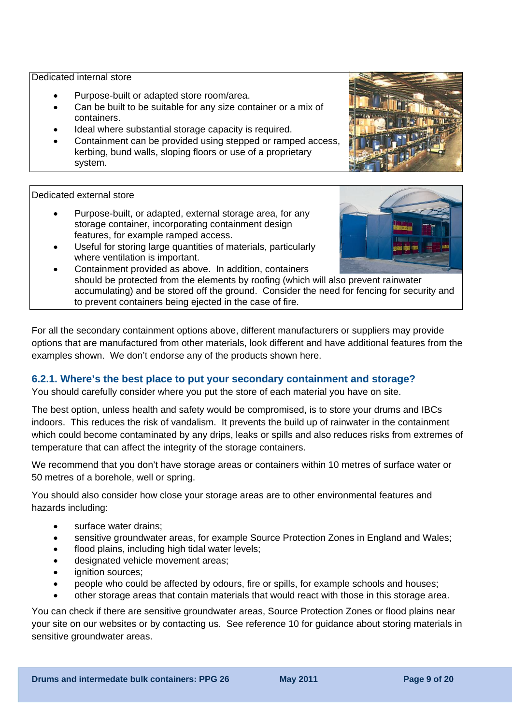Dedicated internal store

- Purpose-built or adapted store room/area.
- Can be built to be suitable for any size container or a mix of containers.
- Ideal where substantial storage capacity is required.
- Containment can be provided using stepped or ramped access, kerbing, bund walls, sloping floors or use of a proprietary system.

#### Dedicated external store

- Purpose-built, or adapted, external storage area, for any storage container, incorporating containment design features, for example ramped access.
- Useful for storing large quantities of materials, particularly where ventilation is important.
	- Containment provided as above. In addition, containers should be protected from the elements by roofing (which will also prevent rainwater accumulating) and be stored off the ground. Consider the need for fencing for security and to prevent containers being ejected in the case of fire.

For all the secondary containment options above, different manufacturers or suppliers may provide options that are manufactured from other materials, look different and have additional features from the examples shown. We don't endorse any of the products shown here.

#### **6.2.1. Where's the best place to put your secondary containment and storage?**

You should carefully consider where you put the store of each material you have on site.

The best option, unless health and safety would be compromised, is to store your drums and IBCs indoors. This reduces the risk of vandalism. It prevents the build up of rainwater in the containment which could become contaminated by any drips, leaks or spills and also reduces risks from extremes of temperature that can affect the integrity of the storage containers.

We recommend that you don't have storage areas or containers within 10 metres of surface water or 50 metres of a borehole, well or spring.

You should also consider how close your storage areas are to other environmental features and hazards including:

- surface water drains:
- sensitive groundwater areas, for example Source Protection Zones in England and Wales;
- flood plains, including high tidal water levels;
- designated vehicle movement areas;
- ignition sources:
- people who could be affected by odours, fire or spills, for example schools and houses;
- other storage areas that contain materials that would react with those in this storage area.

You can check if there are sensitive groundwater areas, Source Protection Zones or flood plains near your site on our websites or by contacting us. See reference 10 for guidance about storing materials in sensitive groundwater areas.

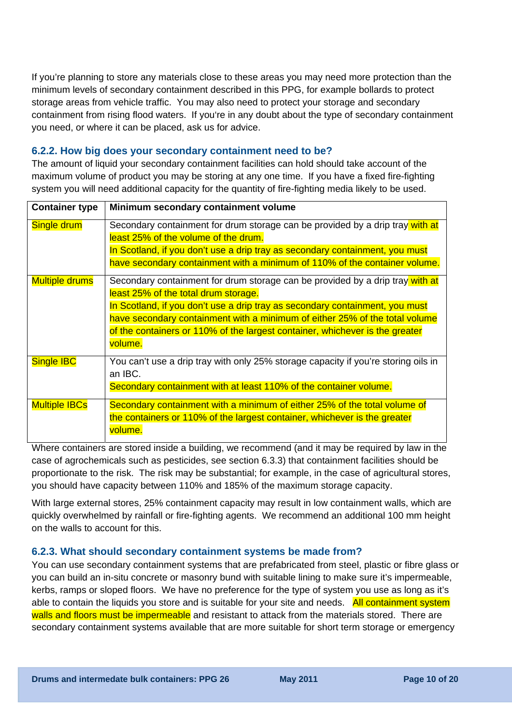If you're planning to store any materials close to these areas you may need more protection than the minimum levels of secondary containment described in this PPG, for example bollards to protect storage areas from vehicle traffic. You may also need to protect your storage and secondary containment from rising flood waters. If you're in any doubt about the type of secondary containment you need, or where it can be placed, ask us for advice.

#### **6.2.2. How big does your secondary containment need to be?**

The amount of liquid your secondary containment facilities can hold should take account of the maximum volume of product you may be storing at any one time. If you have a fixed fire-fighting system you will need additional capacity for the quantity of fire-fighting media likely to be used.

| <b>Container type</b> | Minimum secondary containment volume                                                                                                                                                                                                                                                                                                                                            |
|-----------------------|---------------------------------------------------------------------------------------------------------------------------------------------------------------------------------------------------------------------------------------------------------------------------------------------------------------------------------------------------------------------------------|
| Single drum           | Secondary containment for drum storage can be provided by a drip tray with at<br>least 25% of the volume of the drum.<br>In Scotland, if you don't use a drip tray as secondary containment, you must<br>have secondary containment with a minimum of 110% of the container volume.                                                                                             |
| <b>Multiple drums</b> | Secondary containment for drum storage can be provided by a drip tray with at<br>least 25% of the total drum storage.<br>In Scotland, if you don't use a drip tray as secondary containment, you must<br>have secondary containment with a minimum of either 25% of the total volume<br>of the containers or 110% of the largest container, whichever is the greater<br>volume. |
| <b>Single IBC</b>     | You can't use a drip tray with only 25% storage capacity if you're storing oils in<br>an IBC.<br>Secondary containment with at least 110% of the container volume.                                                                                                                                                                                                              |
| <b>Multiple IBCs</b>  | Secondary containment with a minimum of either 25% of the total volume of<br>the containers or 110% of the largest container, whichever is the greater<br>volume.                                                                                                                                                                                                               |

Where containers are stored inside a building, we recommend (and it may be required by law in the case of agrochemicals such as pesticides, see section 6.3.3) that containment facilities should be proportionate to the risk. The risk may be substantial; for example, in the case of agricultural stores, you should have capacity between 110% and 185% of the maximum storage capacity.

With large external stores, 25% containment capacity may result in low containment walls, which are quickly overwhelmed by rainfall or fire-fighting agents. We recommend an additional 100 mm height on the walls to account for this.

#### **6.2.3. What should secondary containment systems be made from?**

You can use secondary containment systems that are prefabricated from steel, plastic or fibre glass or you can build an in-situ concrete or masonry bund with suitable lining to make sure it's impermeable, kerbs, ramps or sloped floors. We have no preference for the type of system you use as long as it's able to contain the liquids you store and is suitable for your site and needs. All containment system walls and floors must be impermeable and resistant to attack from the materials stored. There are secondary containment systems available that are more suitable for short term storage or emergency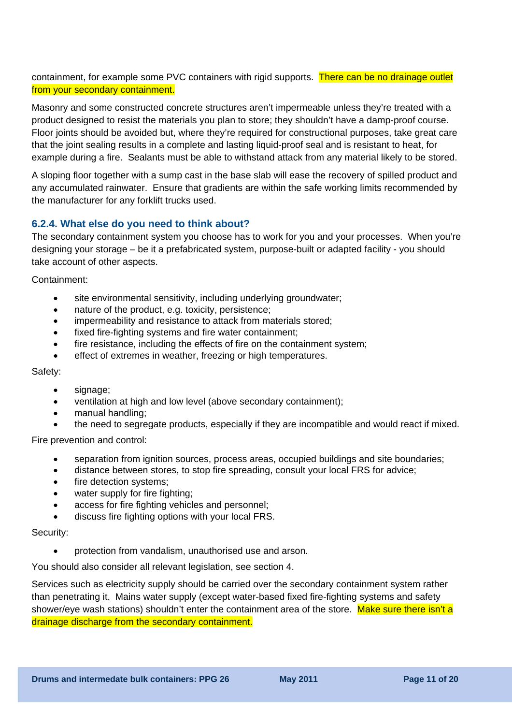containment, for example some PVC containers with rigid supports. There can be no drainage outlet from your secondary containment.

Masonry and some constructed concrete structures aren't impermeable unless they're treated with a product designed to resist the materials you plan to store; they shouldn't have a damp-proof course. Floor joints should be avoided but, where they're required for constructional purposes, take great care that the joint sealing results in a complete and lasting liquid-proof seal and is resistant to heat, for example during a fire. Sealants must be able to withstand attack from any material likely to be stored.

A sloping floor together with a sump cast in the base slab will ease the recovery of spilled product and any accumulated rainwater. Ensure that gradients are within the safe working limits recommended by the manufacturer for any forklift trucks used.

#### **6.2.4. What else do you need to think about?**

The secondary containment system you choose has to work for you and your processes. When you're designing your storage – be it a prefabricated system, purpose-built or adapted facility - you should take account of other aspects.

Containment:

- site environmental sensitivity, including underlying groundwater;
- nature of the product, e.g. toxicity, persistence;
- impermeability and resistance to attack from materials stored;
- fixed fire-fighting systems and fire water containment;
- fire resistance, including the effects of fire on the containment system;
- effect of extremes in weather, freezing or high temperatures.

Safety:

- signage;
- ventilation at high and low level (above secondary containment);
- manual handling;
- the need to segregate products, especially if they are incompatible and would react if mixed.

Fire prevention and control:

- separation from ignition sources, process areas, occupied buildings and site boundaries;
- distance between stores, to stop fire spreading, consult your local FRS for advice;
- fire detection systems;
- water supply for fire fighting:
- access for fire fighting vehicles and personnel:
- discuss fire fighting options with your local FRS.

Security:

• protection from vandalism, unauthorised use and arson.

You should also consider all relevant legislation, see section 4.

Services such as electricity supply should be carried over the secondary containment system rather than penetrating it. Mains water supply (except water-based fixed fire-fighting systems and safety shower/eye wash stations) shouldn't enter the containment area of the store. Make sure there isn't a drainage discharge from the secondary containment.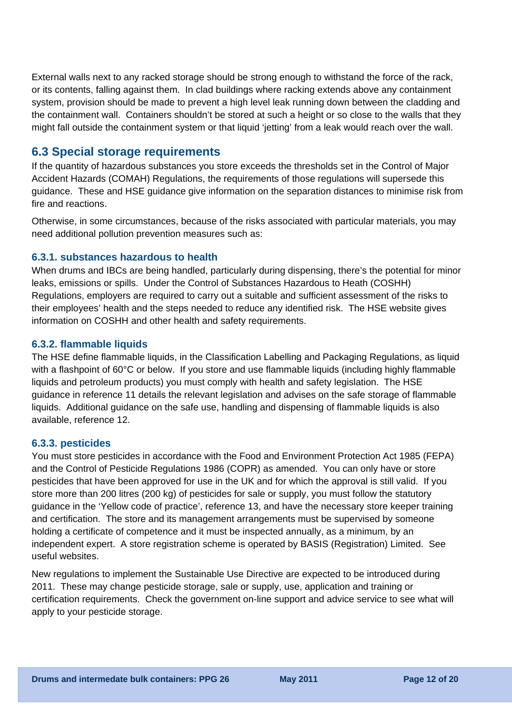External walls next to any racked storage should be strong enough to withstand the force of the rack, or its contents, falling against them. In clad buildings where racking extends above any containment system, provision should be made to prevent a high level leak running down between the cladding and the containment wall. Containers shouldn't be stored at such a height or so close to the walls that they might fall outside the containment system or that liquid 'jetting' from a leak would reach over the wall.

### **6.3 Special storage requirements**

If the quantity of hazardous substances you store exceeds the thresholds set in the Control of Major Accident Hazards (COMAH) Regulations, the requirements of those regulations will supersede this guidance. These and HSE guidance give information on the separation distances to minimise risk from fire and reactions.

Otherwise, in some circumstances, because of the risks associated with particular materials, you may need additional pollution prevention measures such as:

#### **6.3.1. substances hazardous to health**

When drums and IBCs are being handled, particularly during dispensing, there's the potential for minor leaks, emissions or spills. Under the Control of Substances Hazardous to Heath (COSHH) Regulations, employers are required to carry out a suitable and sufficient assessment of the risks to their employees' health and the steps needed to reduce any identified risk. The HSE website gives information on COSHH and other health and safety requirements.

#### **6.3.2. flammable liquids**

The HSE define flammable liquids, in the Classification Labelling and Packaging Regulations, as liquid with a flashpoint of 60°C or below. If you store and use flammable liquids (including highly flammable liquids and petroleum products) you must comply with health and safety legislation. The HSE guidance in reference 11 details the relevant legislation and advises on the safe storage of flammable liquids. Additional guidance on the safe use, handling and dispensing of flammable liquids is also available, reference 12.

#### **6.3.3. pesticides**

You must store pesticides in accordance with the Food and Environment Protection Act 1985 (FEPA) and the Control of Pesticide Regulations 1986 (COPR) as amended. You can only have or store pesticides that have been approved for use in the UK and for which the approval is still valid. If you store more than 200 litres (200 kg) of pesticides for sale or supply, you must follow the statutory guidance in the 'Yellow code of practice', reference 13, and have the necessary store keeper training and certification. The store and its management arrangements must be supervised by someone holding a certificate of competence and it must be inspected annually, as a minimum, by an independent expert. A store registration scheme is operated by BASIS (Registration) Limited. See useful websites.

New regulations to implement the Sustainable Use Directive are expected to be introduced during 2011. These may change pesticide storage, sale or supply, use, application and training or certification requirements. Check the government on-line support and advice service to see what will apply to your pesticide storage.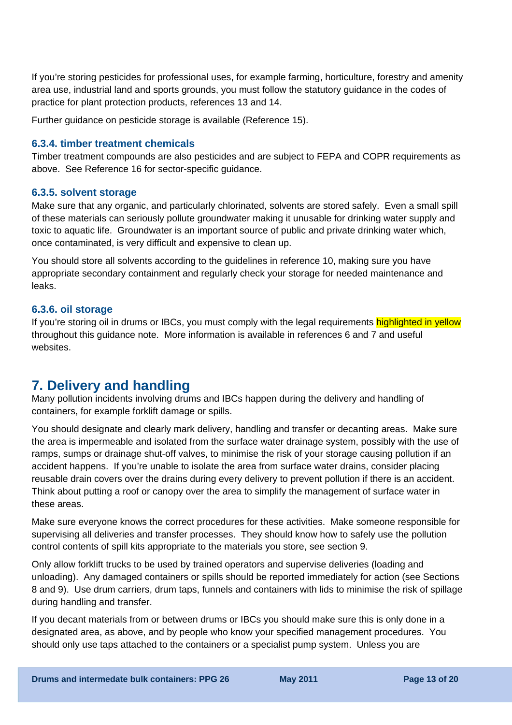If you're storing pesticides for professional uses, for example farming, horticulture, forestry and amenity area use, industrial land and sports grounds, you must follow the statutory guidance in the codes of practice for plant protection products, references 13 and 14.

Further guidance on pesticide storage is available (Reference 15).

#### **6.3.4. timber treatment chemicals**

Timber treatment compounds are also pesticides and are subject to FEPA and COPR requirements as above. See Reference 16 for sector-specific guidance.

#### **6.3.5. solvent storage**

Make sure that any organic, and particularly chlorinated, solvents are stored safely. Even a small spill of these materials can seriously pollute groundwater making it unusable for drinking water supply and toxic to aquatic life. Groundwater is an important source of public and private drinking water which, once contaminated, is very difficult and expensive to clean up.

You should store all solvents according to the guidelines in reference 10, making sure you have appropriate secondary containment and regularly check your storage for needed maintenance and leaks.

#### **6.3.6. oil storage**

If you're storing oil in drums or IBCs, you must comply with the legal requirements highlighted in yellow throughout this guidance note. More information is available in references 6 and 7 and useful websites.

## **7. Delivery and handling**

Many pollution incidents involving drums and IBCs happen during the delivery and handling of containers, for example forklift damage or spills.

You should designate and clearly mark delivery, handling and transfer or decanting areas. Make sure the area is impermeable and isolated from the surface water drainage system, possibly with the use of ramps, sumps or drainage shut-off valves, to minimise the risk of your storage causing pollution if an accident happens. If you're unable to isolate the area from surface water drains, consider placing reusable drain covers over the drains during every delivery to prevent pollution if there is an accident. Think about putting a roof or canopy over the area to simplify the management of surface water in these areas.

Make sure everyone knows the correct procedures for these activities. Make someone responsible for supervising all deliveries and transfer processes. They should know how to safely use the pollution control contents of spill kits appropriate to the materials you store, see section 9.

Only allow forklift trucks to be used by trained operators and supervise deliveries (loading and unloading). Any damaged containers or spills should be reported immediately for action (see Sections 8 and 9). Use drum carriers, drum taps, funnels and containers with lids to minimise the risk of spillage during handling and transfer.

If you decant materials from or between drums or IBCs you should make sure this is only done in a designated area, as above, and by people who know your specified management procedures. You should only use taps attached to the containers or a specialist pump system. Unless you are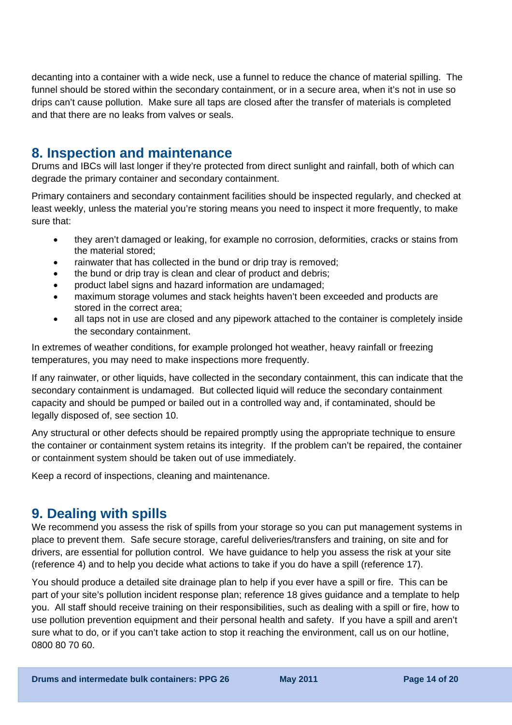decanting into a container with a wide neck, use a funnel to reduce the chance of material spilling. The funnel should be stored within the secondary containment, or in a secure area, when it's not in use so drips can't cause pollution. Make sure all taps are closed after the transfer of materials is completed and that there are no leaks from valves or seals.

### **8. Inspection and maintenance**

Drums and IBCs will last longer if they're protected from direct sunlight and rainfall, both of which can degrade the primary container and secondary containment.

Primary containers and secondary containment facilities should be inspected regularly, and checked at least weekly, unless the material you're storing means you need to inspect it more frequently, to make sure that:

- they aren't damaged or leaking, for example no corrosion, deformities, cracks or stains from the material stored;
- rainwater that has collected in the bund or drip tray is removed;
- the bund or drip tray is clean and clear of product and debris;
- product label signs and hazard information are undamaged;
- maximum storage volumes and stack heights haven't been exceeded and products are stored in the correct area;
- all taps not in use are closed and any pipework attached to the container is completely inside the secondary containment.

In extremes of weather conditions, for example prolonged hot weather, heavy rainfall or freezing temperatures, you may need to make inspections more frequently.

If any rainwater, or other liquids, have collected in the secondary containment, this can indicate that the secondary containment is undamaged. But collected liquid will reduce the secondary containment capacity and should be pumped or bailed out in a controlled way and, if contaminated, should be legally disposed of, see section 10.

Any structural or other defects should be repaired promptly using the appropriate technique to ensure the container or containment system retains its integrity. If the problem can't be repaired, the container or containment system should be taken out of use immediately.

Keep a record of inspections, cleaning and maintenance.

## **9. Dealing with spills**

We recommend you assess the risk of spills from your storage so you can put management systems in place to prevent them. Safe secure storage, careful deliveries/transfers and training, on site and for drivers, are essential for pollution control. We have guidance to help you assess the risk at your site (reference 4) and to help you decide what actions to take if you do have a spill (reference 17).

You should produce a detailed site drainage plan to help if you ever have a spill or fire. This can be part of your site's pollution incident response plan; reference 18 gives guidance and a template to help you. All staff should receive training on their responsibilities, such as dealing with a spill or fire, how to use pollution prevention equipment and their personal health and safety. If you have a spill and aren't sure what to do, or if you can't take action to stop it reaching the environment, call us on our hotline, 0800 80 70 60.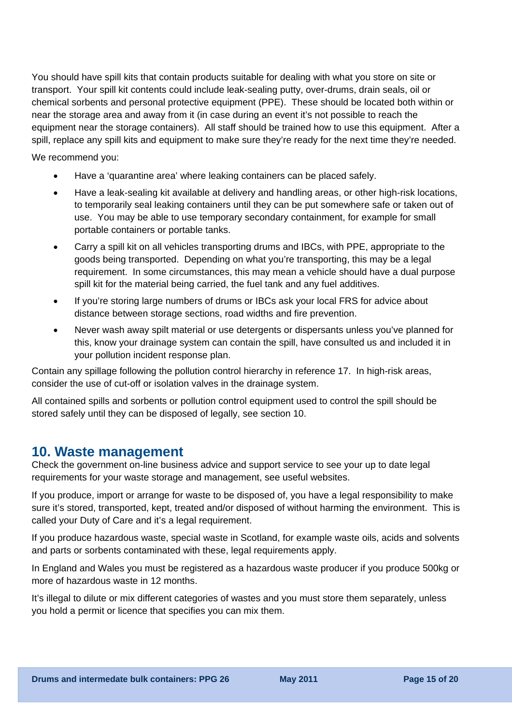You should have [spill kits](#page-0-0) that contain products suitable for dealing with what you store on site or transport. Your spill kit contents could include leak-sealing putty, over-drums, drain seals, oil or chemical sorbents and personal protective equipment (PPE). These should be located both within or near the storage area and away from it (in case during an event it's not possible to reach the equipment near the storage containers). All staff should be trained how to use this equipment. After a spill, replace any spill kits and equipment to make sure they're ready for the next time they're needed.

We recommend you:

- Have a 'quarantine area' where leaking containers can be placed safely.
- Have a leak-sealing kit available at delivery and handling areas, or other high-risk locations, to temporarily seal leaking containers until they can be put somewhere safe or taken out of use. You may be able to use temporary secondary containment, for example for small portable containers or portable tanks.
- Carry a [spill kit](#page-0-0) on all vehicles transporting drums and IBCs, with PPE, appropriate to the goods being transported. Depending on what you're transporting, this may be a legal requirement. In some circumstances, this may mean a vehicle should have a dual purpose spill kit for the material being carried, the fuel tank and any fuel additives.
- If you're storing large numbers of drums or IBCs ask your local FRS for advice about distance between storage sections, road widths and fire prevention.
- Never wash away spilt material or use detergents or dispersants unless you've planned for this, know your drainage system can contain the spill, have consulted us and included it in your pollution incident response plan.

Contain any spillage following the pollution control hierarchy in reference 17. In high-risk areas, consider the use of cut-off or isolation valves in the drainage system.

All contained spills and sorbents or pollution control equipment used to control the spill should be stored safely until they can be disposed of legally, see section 10.

### **10. Waste management**

Check the [government on-line business advice and support service](http://www.netregs.gov.uk/) to see your up to date legal requirements for your waste storage and management, see useful websites.

If you produce, import or arrange for waste to be disposed of, you have a legal responsibility to make sure it's stored, transported, kept, treated and/or disposed of without harming the environment. This is called your Duty of Care and it's a legal requirement.

If you produce hazardous waste, special waste in Scotland, for example waste oils, acids and solvents and parts or sorbents contaminated with these, legal requirements apply.

In England and Wales you must be registered as a hazardous waste producer if you produce 500kg or more of hazardous waste in 12 months.

It's illegal to dilute or mix different categories of wastes and you must store them separately, unless you hold a permit or licence that specifies you can mix them.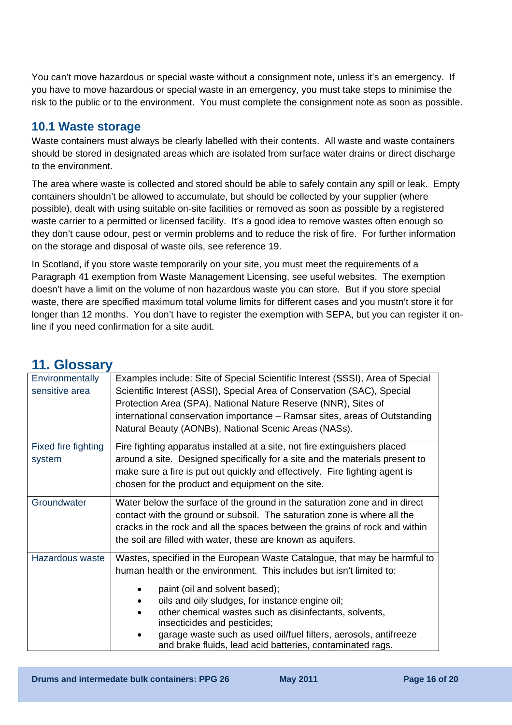You can't move hazardous or special waste without a consignment note, unless it's an emergency. If you have to move hazardous or special waste in an emergency, you must take steps to minimise the risk to the public or to the environment. You must complete the consignment note as soon as possible.

#### **10.1 Waste storage**

Waste containers must always be clearly labelled with their contents. All waste and waste containers should be stored in designated areas which are isolated from surface water drains or direct discharge to the environment.

The area where waste is collected and stored should be able to safely contain any spill or leak. Empty containers shouldn't be allowed to accumulate, but should be collected by your supplier (where possible), dealt with using suitable on-site facilities or removed as soon as possible by a registered waste carrier to a permitted or licensed facility. It's a good idea to remove wastes often enough so they don't cause odour, pest or vermin problems and to reduce the risk of fire. For further information on the storage and disposal of waste oils, see reference 19.

In Scotland, if you store waste temporarily on your site, you must meet the requirements of a Paragraph 41 exemption from Waste Management Licensing, see useful websites. The exemption doesn't have a limit on the volume of non hazardous waste you can store. But if you store special waste, there are specified maximum total volume limits for different cases and you mustn't store it for longer than 12 months. You don't have to register the exemption with SEPA, but you can register it online if you need confirmation for a site audit.

| Environmentally<br>sensitive area | Examples include: Site of Special Scientific Interest (SSSI), Area of Special<br>Scientific Interest (ASSI), Special Area of Conservation (SAC), Special<br>Protection Area (SPA), National Nature Reserve (NNR), Sites of<br>international conservation importance - Ramsar sites, areas of Outstanding<br>Natural Beauty (AONBs), National Scenic Areas (NASs).                                                                                                 |
|-----------------------------------|-------------------------------------------------------------------------------------------------------------------------------------------------------------------------------------------------------------------------------------------------------------------------------------------------------------------------------------------------------------------------------------------------------------------------------------------------------------------|
| Fixed fire fighting<br>system     | Fire fighting apparatus installed at a site, not fire extinguishers placed<br>around a site. Designed specifically for a site and the materials present to<br>make sure a fire is put out quickly and effectively. Fire fighting agent is<br>chosen for the product and equipment on the site.                                                                                                                                                                    |
| Groundwater                       | Water below the surface of the ground in the saturation zone and in direct<br>contact with the ground or subsoil. The saturation zone is where all the<br>cracks in the rock and all the spaces between the grains of rock and within<br>the soil are filled with water, these are known as aquifers.                                                                                                                                                             |
| Hazardous waste                   | Wastes, specified in the European Waste Catalogue, that may be harmful to<br>human health or the environment. This includes but isn't limited to:<br>paint (oil and solvent based);<br>oils and oily sludges, for instance engine oil;<br>other chemical wastes such as disinfectants, solvents,<br>insecticides and pesticides;<br>garage waste such as used oil/fuel filters, aerosols, antifreeze<br>and brake fluids, lead acid batteries, contaminated rags. |

### **11. Glossary**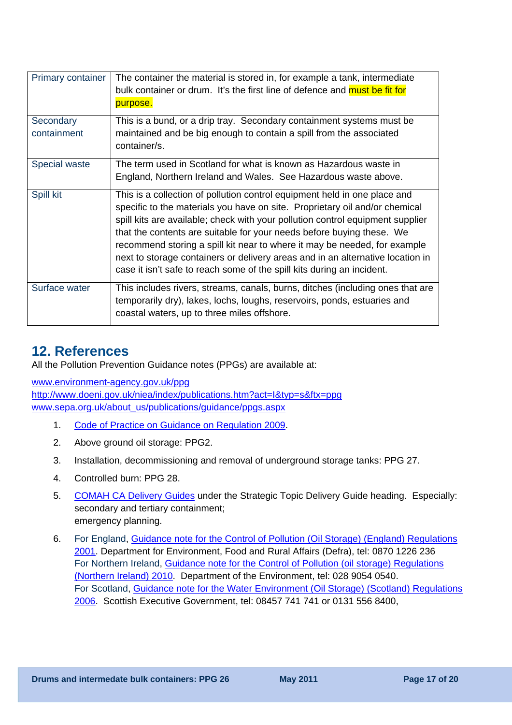<span id="page-16-0"></span>

| <b>Primary container</b> | The container the material is stored in, for example a tank, intermediate<br>bulk container or drum. It's the first line of defence and must be fit for<br>purpose.                                                                                                                                                                                                                                                                                                                                                                                          |
|--------------------------|--------------------------------------------------------------------------------------------------------------------------------------------------------------------------------------------------------------------------------------------------------------------------------------------------------------------------------------------------------------------------------------------------------------------------------------------------------------------------------------------------------------------------------------------------------------|
| Secondary<br>containment | This is a bund, or a drip tray. Secondary containment systems must be<br>maintained and be big enough to contain a spill from the associated<br>container/s.                                                                                                                                                                                                                                                                                                                                                                                                 |
| Special waste            | The term used in Scotland for what is known as Hazardous waste in<br>England, Northern Ireland and Wales. See Hazardous waste above.                                                                                                                                                                                                                                                                                                                                                                                                                         |
| Spill kit                | This is a collection of pollution control equipment held in one place and<br>specific to the materials you have on site. Proprietary oil and/or chemical<br>spill kits are available; check with your pollution control equipment supplier<br>that the contents are suitable for your needs before buying these. We<br>recommend storing a spill kit near to where it may be needed, for example<br>next to storage containers or delivery areas and in an alternative location in<br>case it isn't safe to reach some of the spill kits during an incident. |
| Surface water            | This includes rivers, streams, canals, burns, ditches (including ones that are<br>temporarily dry), lakes, lochs, loughs, reservoirs, ponds, estuaries and<br>coastal waters, up to three miles offshore.                                                                                                                                                                                                                                                                                                                                                    |

## **12. References**

All the Pollution Prevention Guidance notes (PPGs) are available at:

[www.environment-agency.gov.uk/ppg](http://www.environment-agency.gov.uk/ppg)

<http://www.doeni.gov.uk/niea/index/publications.htm?act=I&typ=s&ftx=ppg> [www.sepa.org.uk/about\\_us/publications/guidance/ppgs.aspx](http://www.sepa.org.uk/about_us/publications/guidance/ppgs.aspx) 

- 1. [Code of Practice on Guidance on Regulation 2009.](http://www.bis.gov.uk/files/file53268.pdf)
- 2. Above ground oil storage: PPG2.
- 3. Installation, decommissioning and removal of underground storage tanks: PPG 27.
- 4. Controlled burn: PPG 28.
- 5. [COMAH CA Delivery Guides](http://www.hse.gov.uk/comah/ca-guides.htm) under the Strategic Topic Delivery Guide heading. Especially: secondary and tertiary containment; emergency planning.
- 6. For England, [Guidance note for the Control of Pollution \(Oil Storage\) \(England\) Regulations](http://archive.defra.gov.uk/environment/quality/water/waterquality/oilstore/documents/oil_store.pdf)  [2001.](http://archive.defra.gov.uk/environment/quality/water/waterquality/oilstore/documents/oil_store.pdf) Department for Environment, Food and Rural Affairs (Defra), tel: 0870 1226 236 For Northern Ireland, [Guidance note for the Control of Pollution \(oil storage\) Regulations](http://www.doeni.gov.uk/guidance_document_for_the_control_of_pollution__oil_storage__regulations__northern_ireland__2010.pdf)  [\(Northern Ireland\) 2010.](http://www.doeni.gov.uk/guidance_document_for_the_control_of_pollution__oil_storage__regulations__northern_ireland__2010.pdf) Department of the Environment, tel: 028 9054 0540. For Scotland, [Guidance note for the Water Environment \(Oil Storage\) \(Scotland\) Regulations](http://www.scotland.gov.uk/Resource/Doc/1057/0029448.pdf)  [2006.](http://www.scotland.gov.uk/Resource/Doc/1057/0029448.pdf) Scottish Executive Government, tel: 08457 741 741 or 0131 556 8400,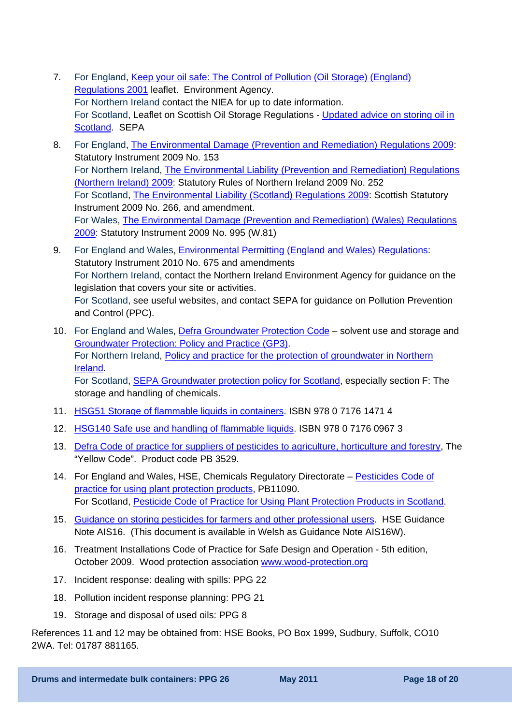- 7. For England, [Keep your oil safe: The Control of Pollution \(Oil Storage\) \(England\)](http://publications.environment-agency.gov.uk/pdf/PMHO0111BTKN-e-e.pdf)  [Regulations 2001](http://publications.environment-agency.gov.uk/pdf/PMHO0111BTKN-e-e.pdf) leaflet. Environment Agency. For Northern Ireland contact the NIEA for up to date information. For Scotland, Leaflet on Scottish Oil Storage Regulations - [Updated advice on storing oil in](http://www.sepa.org.uk/water/water_regulation/regimes/pollution_control/idoc.ashx?docid=75b17fd8-41d4-4a36-967c-79095736f1d5&version=-1)  [Scotland](http://www.sepa.org.uk/water/water_regulation/regimes/pollution_control/idoc.ashx?docid=75b17fd8-41d4-4a36-967c-79095736f1d5&version=-1). SEPA
- 8. For England, [The Environmental Damage \(Prevention and Remediation\) Regulations 2009](http://www.opsi.gov.uk/si/si2009/uksi_20090153_en_1): Statutory Instrument 2009 No. 153 For Northern Ireland, [The Environmental Liability \(Prevention and Remediation\) Regulations](http://www.opsi.gov.uk/sr/sr2009/nisr_20090252_en_1)  [\(Northern Ireland\) 2009:](http://www.opsi.gov.uk/sr/sr2009/nisr_20090252_en_1) Statutory Rules of Northern Ireland 2009 No. 252 For Scotland, [The Environmental Liability \(Scotland\) Regulations 2009:](http://www.legislation.gov.uk/ssi/2009/266/contents/made) Scottish Statutory Instrument 2009 No. 266, and amendment. For Wales, [The Environmental Damage \(Prevention and Remediation\) \(Wales\) Regulations](http://www.opsi.gov.uk/legislation/wales/wsi2009/wsi_20090995_en_1)  [2009:](http://www.opsi.gov.uk/legislation/wales/wsi2009/wsi_20090995_en_1) Statutory Instrument 2009 No. 995 (W.81)
- 9. For England and Wales, [Environmental Permitting \(England and Wales\) Regulations](http://www.opsi.gov.uk/si/si2010/pdf/uksi_20100675_en.pdf): Statutory Instrument 2010 No. 675 and amendments For Northern Ireland, contact the Northern Ireland Environment Agency for guidance on the legislation that covers your site or activities. For Scotland, see useful websites, and contact SEPA for guidance on Pollution Prevention and Control (PPC).
- 10. For England and Wales, [Defra Groundwater Protection Code](http://www.defra.gov.uk/environment/quality/water/waterquality/ground/documents/solvents.pdf)  solvent use and storage and [Groundwater Protection: Policy and Practice \(GP3\).](http://www.environment-agency.gov.uk/research/library/publications/40741.aspx) For Northern Ireland, [Policy and practice for the protection of groundwater in Northern](http://www.doeni.gov.uk/niea/pubs/publications/Policy_and_Practice_for_the_Protection_of_Groundwater_in_Northern_Ireland.pdf)  [Ireland](http://www.doeni.gov.uk/niea/pubs/publications/Policy_and_Practice_for_the_Protection_of_Groundwater_in_Northern_Ireland.pdf). For Scotland, **[SEPA Groundwater protection policy for Scotland](http://www.sepa.org.uk/water/water_regulation/regimes/groundwater/idoc.ashx?docid=0b7d7921-b09d-4aaf-9f08-396e336565de&version=-1)**, especially section F: The storage and handling of chemicals.
- 11. [HSG51 Storage of flammable liquids in containers.](http://www.hse.gov.uk/pubns/priced/hsg51.pdf) ISBN 978 0 7176 1471 4
- 12. [HSG140 Safe use and handling of flammable liquids](http://www.hse.gov.uk/pubns/priced/hsg140.pdf). ISBN 978 0 7176 0967 3
- 13. [Defra Code of practice for suppliers of pesticides to agriculture, horticulture and forestry,](http://www.pesticides.gov.uk/uploadedfiles/Web_Assets/PSD/yellow_code.pdf) The "Yellow Code". Product code PB 3529.
- 14. For England and Wales, HSE, Chemicals Regulatory Directorate [Pesticides Code of](http://www.pesticides.gov.uk/uploadedfiles/Web_Assets/PSD/Code_of_Practice_for_using_Plant_Protection_Products_-_Complete%20Code.pdf)  [practice for using plant protection products,](http://www.pesticides.gov.uk/uploadedfiles/Web_Assets/PSD/Code_of_Practice_for_using_Plant_Protection_Products_-_Complete%20Code.pdf) PB11090. For Scotland, [Pesticide Code of Practice for Using Plant Protection Products in Scotland.](http://www.scotland.gov.uk/Publications/2006/12/19110050/0)
- 15. [Guidance on storing pesticides for farmers and other professional users.](http://www.hse.gov.uk/pubns/ais16.pdf) HSE Guidance Note AIS16. (This document is available in Welsh as Guidance Note AIS16W).
- 16. Treatment Installations Code of Practice for Safe Design and Operation 5th edition, October 2009. Wood protection association [www.wood-protection.org](http://www.wood-protection.org/)
- 17. Incident response: dealing with spills: PPG 22
- 18. Pollution incident response planning: PPG 21
- 19. Storage and disposal of used oils: PPG 8

References 11 and 12 may be obtained from: HSE Books, PO Box 1999, Sudbury, Suffolk, CO10 2WA. Tel: 01787 881165.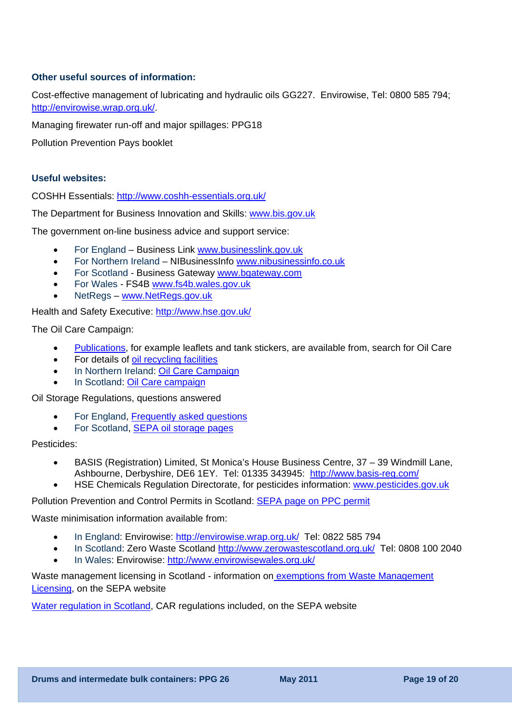#### **Other useful sources of information:**

Cost-effective management of lubricating and hydraulic oils GG227. Envirowise, Tel: 0800 585 794; [http://envirowise.wrap.org.uk/.](http://envirowise.wrap.org.uk/)

Managing firewater run-off and major spillages: PPG18

Pollution Prevention Pays booklet

#### **Useful websites:**

COSHH Essentials: <http://www.coshh-essentials.org.uk/>

The Department for Business Innovation and Skills: [www.bis.gov.uk](http://www.bis.gov.uk/)

The government on-line business advice and support service:

- For England Business Link [www.businesslink.gov.uk](http://www.businesslink.gov.uk/)
- For Northern Ireland NIBusinessInfo [www.nibusinessinfo.co.uk](http://www.nibusinessinfo.co.uk/)
- For Scotland Business Gateway [www.bgateway.com](http://www.bgateway.com/)
- For Wales FS4B [www.fs4b.wales.gov.uk](http://www.fs4b.wales.gov.uk/)
- NetRegs www.NetRegs.gov.uk

Health and Safety Executive:<http://www.hse.gov.uk/>

The Oil Care Campaign:

- [Publications,](http://www.publications.environment-agency.gov.uk/) for example leaflets and tank stickers, are available from, search for Oil Care
- For details of oil recycling facilities
- In Northern Ireland: [Oil Care Campaign](http://www.ni-environment.gov.uk/water/waterpollution/pol_prevent/water-pollution-initiatives.htm)
- In Scotland: Oil Care campaign

Oil Storage Regulations, questions answered

- For England, [Frequently asked questions](http://www.environment-agency.gov.uk/osr)
- For Scotland, [SEPA oil storage pages](http://www.sepa.org.uk/water/water_regulation/regimes/pollution_control/oil_storage.aspx)

Pesticides:

- BASIS (Registration) Limited, St Monica's House Business Centre, 37 39 Windmill Lane, Ashbourne, Derbyshire, DE6 1EY. Tel: 01335 343945: <http://www.basis-reg.com/>
- HSE Chemicals Regulation Directorate, for pesticides information: [www.pesticides.gov.uk](http://www.pesticides.gov.uk/)

Pollution Prevention and Control Permits in Scotland: [SEPA page on PPC permit](http://www.sepa.org.uk/air/process_industry_regulation/pollution_prevention__control/ppc_permit.aspx) 

Waste minimisation information available from:

- In England: Envirowise: <http://envirowise.wrap.org.uk/>Tel: 0822 585 794
- In Scotland: Zero Waste Scotland http://www.zerowastescotland.org.uk/ Tel: 0808 100 2040
- In Wales: Envirowise: http://www.envirowisewales.org.uk/

Waste management licensing in Scotland - information on exemptions from Waste Management [Licensing](http://www.sepa.org.uk/waste/waste_regulation/application_forms/exempt_activities.aspx), on the SEPA website

[Water regulation in Scotland](http://www.sepa.org.uk/water/water_regulation.aspx), CAR regulations included, on the SEPA website